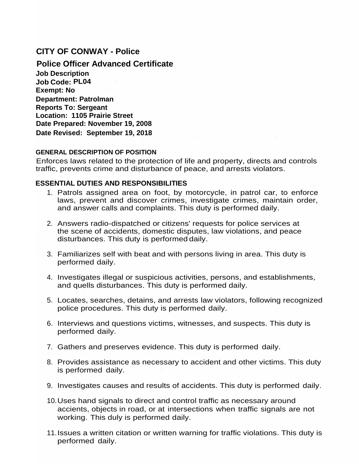# **CITY OF CONWAY - Police**

**Police Officer Advanced Certificate Job Description Job Code: PL04 Exempt: No Department: Patrolman Reports To: Sergeant Location: 1105 Prairie Street Date Prepared: November 19, 2008 Date Revised: September 19, 2018**

### **GENERAL DESCRIPTION OF POSITION**

Enforces laws related to the protection of life and property, directs and controls traffic, prevents crime and disturbance of peace, and arrests violators.

#### **ESSENTIAL DUTIES AND RESPONSIBILITIES**

- 1. Patrols assigned area on foot, by motorcycle, in patrol car, to enforce laws, prevent and discover crimes, investigate crimes, maintain order, and answer calls and complaints. This duty is performed daily.
- 2. Answers radio-dispatched or citizens' requests for police services at the scene of accidents, domestic disputes, law violations, and peace disturbances. This duty is performed daily.
- 3. Familiarizes self with beat and with persons living in area. This duty is performed daily.
- 4. Investigates illegal or suspicious activities, persons, and establishments, and quells disturbances. This duty is performed daily.
- 5. Locates, searches, detains, and arrests law violators, following recognized police procedures. This duty is performed daily.
- 6. Interviews and questions victims, witnesses, and suspects. This duty is performed daily.
- 7. Gathers and preserves evidence. This duty is performed daily.
- 8. Provides assistance as necessary to accident and other victims. This duty is performed daily.
- 9. Investigates causes and results of accidents. This duty is performed daily.
- 10.Uses hand signals to direct and control traffic as necessary around accients, objects in road, or at intersections when traffic signals are not working. This duly is performed daily.
- 11.Issues a written citation or written warning for traffic violations. This duty is performed daily.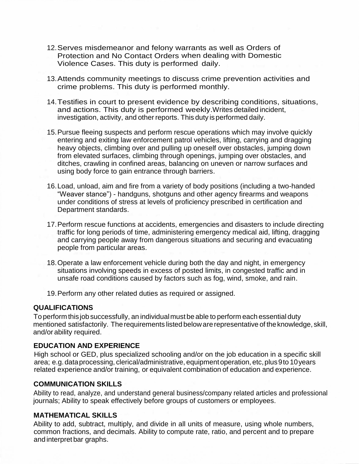- 12.Serves misdemeanor and felony warrants as well as Orders of Protection and No Contact Orders when dealing with Domestic Violence Cases. This duty is performed daily.
- 13.Attends community meetings to discuss crime prevention activities and crime problems. This duty is performed monthly.
- 14.Testifies in court to present evidence by describing conditions, situations, and actions. This duty is performed weekly.Writes detailed incident, investigation, activity, and other reports. This duty is performed daily.
- 15.Pursue fleeing suspects and perform rescue operations which may involve quickly entering and exiting law enforcement patrol vehicles, lifting, carrying and dragging heavy objects, climbing over and pulling up oneself over obstacles, jumping down from elevated surfaces, climbing through openings, jumping over obstacles, and ditches, crawling in confined areas, balancing on uneven or narrow surfaces and using body force to gain entrance through barriers.
- 16.Load, unload, aim and fire from a variety of body positions (including a two-handed "Weaver stance") - handguns, shotguns and other agency firearms and weapons under conditions of stress at levels of proficiency prescribed in certification and Department standards.
- 17.Perform rescue functions at accidents, emergencies and disasters to include directing traffic for long periods of time, administering emergency medical aid, lifting, dragging and carrying people away from dangerous situations and securing and evacuating people from particular areas.
- 18.Operate a law enforcement vehicle during both the day and night, in emergency situations involving speeds in excess of posted limits, in congested traffic and in unsafe road conditions caused by factors such as fog, wind, smoke, and rain.
- 19.Perform any other related duties as required or assigned.

#### **QUALIFICATIONS**

To performthisjob successfully, an individualmust be able to perform each essential duty mentioned satisfactorily. Therequirements listed belowarerepresentative of theknowledge, skill, and/or ability required.

#### **EDUCATION AND EXPERIENCE**

High school or GED, plus specialized schooling and/or on the job education in a specific skill area; e.g.dataprocessing, clerical/administrative, equipmentoperation, etc,plus9to 10years related experience and/or training, or equivalent combination of education and experience.

#### **COMMUNICATION SKILLS**

Ability to read, analyze, and understand general business/company related articles and professional journals; Ability to speak effectively before groups of customers or employees.

#### **MATHEMATICAL SKILLS**

Ability to add, subtract, multiply, and divide in all units of measure, using whole numbers, common fractions, and decimals. Ability to compute rate, ratio, and percent and to prepare and interpret bar graphs.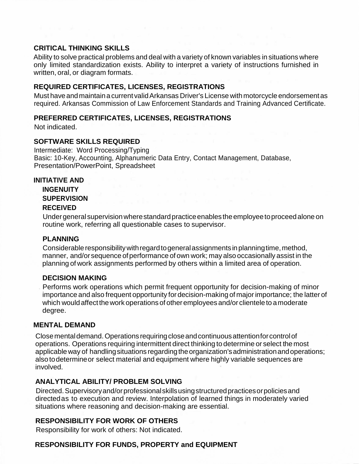### **CRITICAL THINKING SKILLS**

Ability to solve practical problems and deal with a variety of known variables in situations where only limited standardization exists. Ability to interpret a variety of instructions furnished in written, oral, or diagram formats.

### **REQUIRED CERTIFICATES, LICENSES, REGISTRATIONS**

Must haveandmaintainacurrent validArkansas Driver's License withmotorcycle endorsementas required. Arkansas Commission of Law Enforcement Standards and Training Advanced Certificate.

### **PREFERRED CERTIFICATES, LICENSES, REGISTRATIONS**

Not indicated.

### **SOFTWARE SKILLS REQUIRED**

Intermediate: Word Processing/Typing Basic: 10-Key, Accounting, Alphanumeric Data Entry, Contact Management, Database, Presentation/PowerPoint, Spreadsheet

#### **INITIATIVE AND**

**INGENUITY SUPERVISION RECEIVED**

Under general supervision where standard practice enables the employee to proceed alone on routine work, referring all questionable cases to supervisor.

### **PLANNING**

Considerable responsibility with regard to general assignments in planning time, method, manner, and/or sequence of performance of own work; may also occasionally assist in the planning of work assignments performed by others within a limited area of operation.

## **DECISION MAKING**

Performs work operations which permit frequent opportunity for decision-making of minor importance and also frequent opportunity fordecision-making of majorimportance; the latter of which would affect the work operations of other employees and/or clientele to a moderate degree.

### **MENTAL DEMAND**

Closementaldemand.Operations requiringcloseandcontinuousattentionforcontrolof operations. Operations requiring intermittent direct thinking to determine or select the most applicable way of handling situations regarding the organization's administration and operations; also todetermineor select material and equipment where highly variable sequences are involved.

## **ANALYTICAL ABILITY/ PROBLEM SOLVING**

Directed.Supervisoryand/orprofessionalskillsusingstructuredpracticesorpoliciesand directedas to execution and review. Interpolation of learned things in moderately varied situations where reasoning and decision-making are essential.

## **RESPONSIBILITY FOR WORK OF OTHERS**

Responsibility for work of others: Not indicated.

## **RESPONSIBILITY FOR FUNDS, PROPERTY and EQUIPMENT**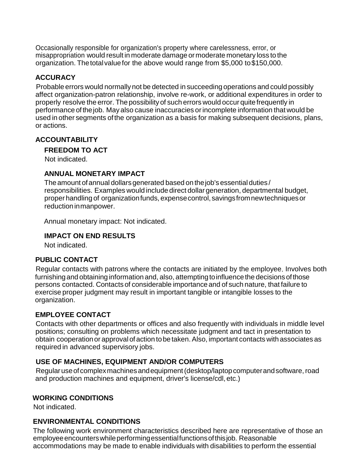Occasionally responsible for organization's property where carelessness, error, or misappropriation would result in moderate damage ormoderate monetary loss to the organization. Thetotalvaluefor the above would range from \$5,000 to\$150,000.

## **ACCURACY**

Probable errors would normally not be detected in succeeding operations and could possibly affect organization-patron relationship, involve re-work, or additional expenditures in order to properly resolve the error. The possibilityof such errors would occur quitefrequently in performance of thejob. May also cause inaccuracies orincomplete information that would be used in other segments ofthe organization as a basis for making subsequent decisions, plans, or actions.

### **ACCOUNTABILITY**

**FREEDOM TO ACT**

Not indicated.

### **ANNUAL MONETARY IMPACT**

The amount of annual dollars generated based on the job's essential duties / responsibilities. Examples would include direct dollar generation, departmental budget, proper handling of organizationfunds, expensecontrol, savingsfromnewtechniquesor reductioninmanpower.

Annual monetary impact: Not indicated.

### **IMPACT ON END RESULTS**

Not indicated.

### **PUBLIC CONTACT**

Regular contacts with patrons where the contacts are initiated by the employee. Involves both furnishing and obtaining information and, also, attempting to influence the decisions of those persons contacted. Contacts of considerable importance and of such nature, that failure to exercise proper judgment may result in important tangible or intangible losses to the organization.

### **EMPLOYEE CONTACT**

Contacts with other departments or offices and also frequently with individuals in middle level positions; consulting on problems which necessitate judgment and tact in presentation to obtain cooperationor approval of action tobetaken.Also, important contacts with associates as required in advanced supervisory jobs.

## **USE OF MACHINES, EQUIPMENT AND/OR COMPUTERS**

Regularuseofcomplexmachinesandequipment(desktop/laptopcomputerandsoftware,road and production machines and equipment, driver's license/cdl, etc.)

### **WORKING CONDITIONS**

Not indicated.

## **ENVIRONMENTAL CONDITIONS**

The following work environment characteristics described here are representative of those an employee encounters while performing essential functions of this job. Reasonable accommodations may be made to enable individuals with disabilities to perform the essential